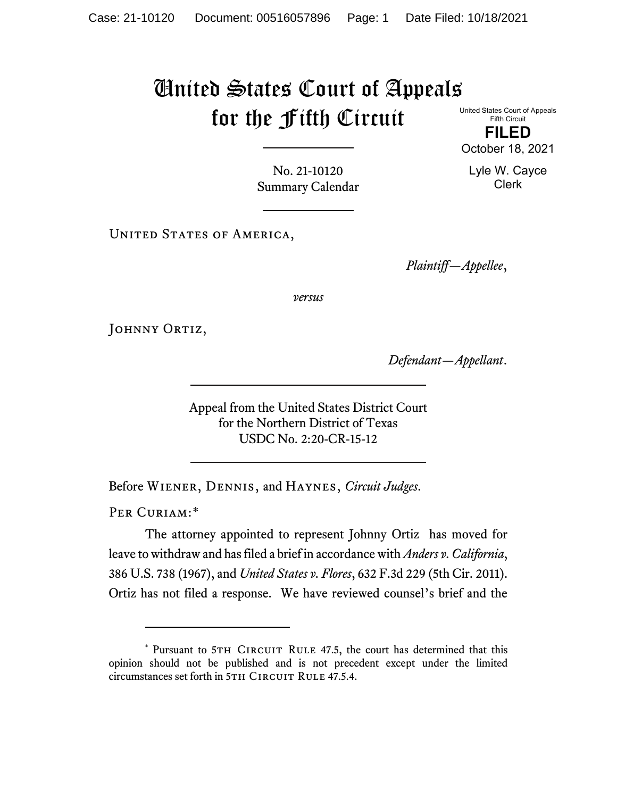## United States Court of Appeals for the Fifth Circuit

United States Court of Appeals Fifth Circuit **FILED**

October 18, 2021

Lyle W. Cayce Clerk

No. 21-10120 Summary Calendar

UNITED STATES OF AMERICA,

*Plaintiff—Appellee*,

*versus*

JOHNNY ORTIZ,

*Defendant—Appellant*.

Appeal from the United States District Court for the Northern District of Texas USDC No. 2:20-CR-15-12

Before Wiener, Dennis, and Haynes, *Circuit Judges*.

PER CURIAM:[\\*](#page-0-0)

The attorney appointed to represent Johnny Ortiz has moved for leave to withdraw and has filed a brief in accordance with *Anders v. California*, 386 U.S. 738 (1967), and *United States v. Flores*, 632 F.3d 229 (5th Cir. 2011). Ortiz has not filed a response. We have reviewed counsel's brief and the

<span id="page-0-0"></span><sup>\*</sup> Pursuant to 5TH CIRCUIT RULE 47.5, the court has determined that this opinion should not be published and is not precedent except under the limited circumstances set forth in 5TH CIRCUIT RULE 47.5.4.